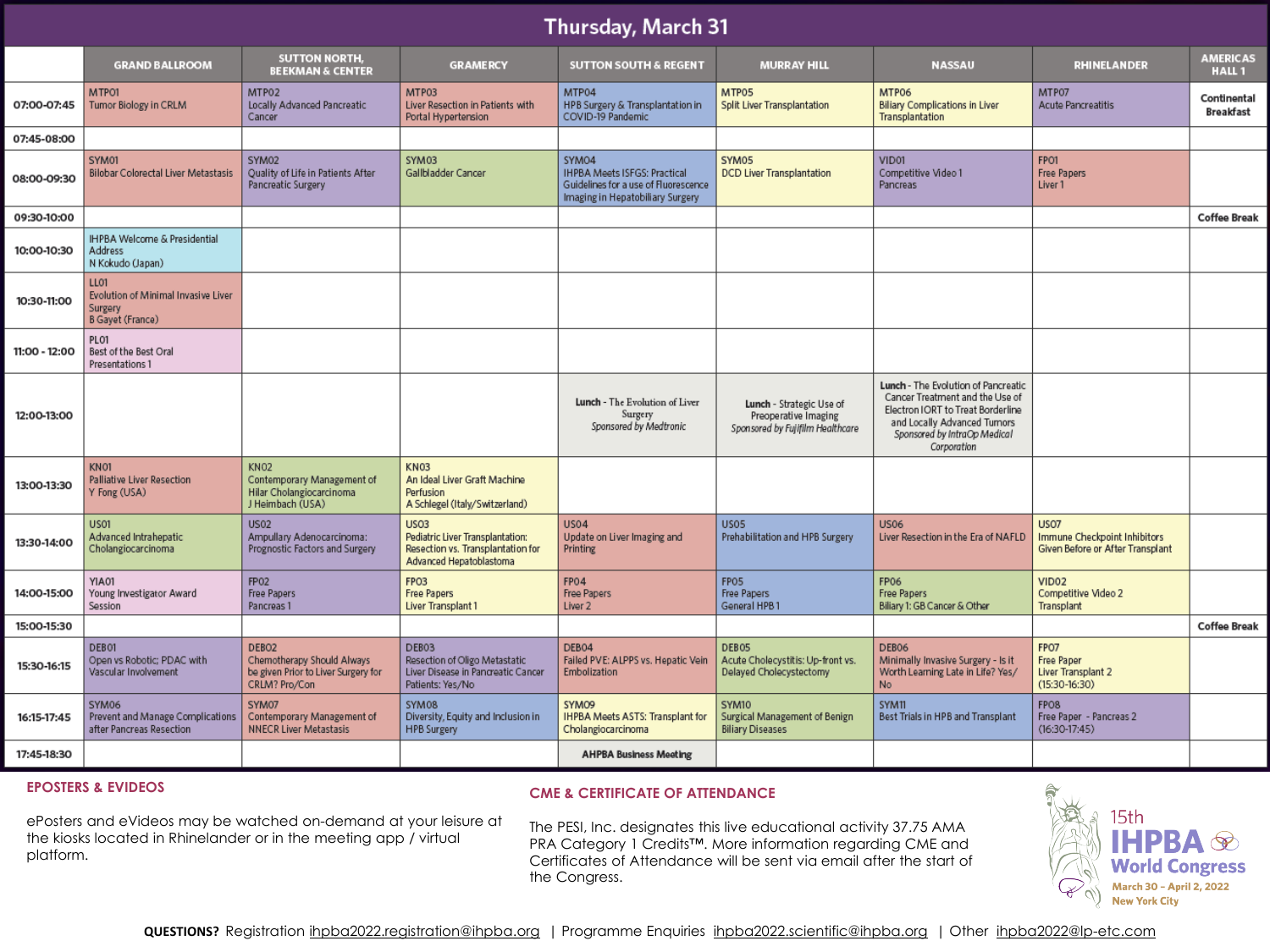# Thursday, March 31

|               | <b>GRAND BALLROOM</b>                                                      | <b>SUTTON NORTH,</b><br><b>BEEKMAN &amp; CENTER</b>                                                     | <b>GRAMERCY</b>                                                                                                 | <b>SUTTON SOUTH &amp; REGENT</b>                                                                                         | <b>MURRAY HILL</b>                                                                   | <b>NASSAU</b>                                                                                                                                                                             | <b>RHINELANDER</b>                                                              | <b>AMERICAS</b><br>HALL <sub>1</sub> |
|---------------|----------------------------------------------------------------------------|---------------------------------------------------------------------------------------------------------|-----------------------------------------------------------------------------------------------------------------|--------------------------------------------------------------------------------------------------------------------------|--------------------------------------------------------------------------------------|-------------------------------------------------------------------------------------------------------------------------------------------------------------------------------------------|---------------------------------------------------------------------------------|--------------------------------------|
| 07:00-07:45   | MTP01<br>Tumor Biology in CRLM                                             | MTP02<br>Locally Advanced Pancreatic<br>Cancer                                                          | MTP03<br>Liver Resection in Patients with<br>Portal Hypertension                                                | MTP04<br>HPB Surgery & Transplantation in<br>COVID-19 Pandemic                                                           | MTP05<br>Split Liver Transplantation                                                 | MTP06<br><b>Biliary Complications in Liver</b><br>Transplantation                                                                                                                         | MTP07<br><b>Acute Pancreatitis</b>                                              | Continental<br><b>Breakfast</b>      |
| 07:45-08:00   |                                                                            |                                                                                                         |                                                                                                                 |                                                                                                                          |                                                                                      |                                                                                                                                                                                           |                                                                                 |                                      |
| 08:00-09:30   | SYM01<br>Bilobar Colorectal Liver Metastasis                               | SYM02<br>Quality of Life in Patients After<br>Pancreatic Surgery                                        | SYM03<br>Gallbladder Cancer                                                                                     | SYM04<br><b>IHPBA Meets ISFGS: Practical</b><br>Guidelines for a use of Fluorescence<br>Imaging in Hepatobiliary Surgery | SYM05<br><b>DCD Liver Transplantation</b>                                            | VID01<br>Competitive Video 1<br>Pancreas                                                                                                                                                  | FPO1<br><b>Free Papers</b><br>Liver <sub>1</sub>                                |                                      |
| 09:30-10:00   |                                                                            |                                                                                                         |                                                                                                                 |                                                                                                                          |                                                                                      |                                                                                                                                                                                           |                                                                                 | <b>Coffee Break</b>                  |
| 10:00-10:30   | IHPBA Welcome & Presidential<br>Address<br>N Kokudo (Japan)                |                                                                                                         |                                                                                                                 |                                                                                                                          |                                                                                      |                                                                                                                                                                                           |                                                                                 |                                      |
| 10:30-11:00   | LL01<br>Evolution of Minimal Invasive Liver<br>Surgery<br>B Gayet (France) |                                                                                                         |                                                                                                                 |                                                                                                                          |                                                                                      |                                                                                                                                                                                           |                                                                                 |                                      |
| 11:00 - 12:00 | PLO1<br>Best of the Best Oral<br>Presentations 1                           |                                                                                                         |                                                                                                                 |                                                                                                                          |                                                                                      |                                                                                                                                                                                           |                                                                                 |                                      |
| 12:00-13:00   |                                                                            |                                                                                                         |                                                                                                                 | Lunch - The Evolution of Liver<br>Surgery<br>Sponsored by Medtronic                                                      | Lunch - Strategic Use of<br>Preoperative Imaging<br>Sponsored by Fujifilm Healthcare | Lunch - The Evolution of Pancreatic<br>Cancer Treatment and the Use of<br>Electron IORT to Treat Borderline<br>and Locally Advanced Tumors<br>Sponsored by IntraOp Medical<br>Corporation |                                                                                 |                                      |
| 13:00-13:30   | KN01<br>Palliative Liver Resection<br>Y Fong (USA)                         | <b>KN02</b><br>Contemporary Management of<br>Hilar Cholangiocarcinoma<br>J Heimbach (USA)               | <b>KN03</b><br>An Ideal Liver Graft Machine<br>Perfusion<br>A Schlegel (Italy/Switzerland)                      |                                                                                                                          |                                                                                      |                                                                                                                                                                                           |                                                                                 |                                      |
| 13:30-14:00   | US01<br>Advanced Intrahepatic<br>Cholangiocarcinoma                        | <b>US02</b><br>Ampullary Adenocarcinoma:<br>Prognostic Factors and Surgery                              | <b>US03</b><br>Pediatric Liver Transplantation:<br>Resection vs. Transplantation for<br>Advanced Hepatoblastoma | <b>US04</b><br>Update on Liver Imaging and<br>Printing                                                                   | <b>US05</b><br>Prehabilitation and HPB Surgery                                       | <b>US06</b><br>Liver Resection in the Era of NAFLD                                                                                                                                        | <b>US07</b><br>Immune Checkpoint Inhibitors<br>Given Before or After Transplant |                                      |
| 14:00-15:00   | YIA01<br>Young Investigator Award<br>Session                               | FP <sub>02</sub><br><b>Free Papers</b><br>Pancreas 1                                                    | FPO <sub>3</sub><br><b>Free Papers</b><br>Liver Transplant 1                                                    | FP04<br>Free Papers<br>Liver <sub>2</sub>                                                                                | FPO <sub>5</sub><br>Free Papers<br>General HPB 1                                     | <b>FP06</b><br>Free Papers<br>Biliary 1: GB Cancer & Other                                                                                                                                | VID <sub>02</sub><br>Competitive Video 2<br>Transplant                          |                                      |
| 15:00-15:30   |                                                                            |                                                                                                         |                                                                                                                 |                                                                                                                          |                                                                                      |                                                                                                                                                                                           |                                                                                 | <b>Coffee Break</b>                  |
| 15:30-16:15   | DEB01<br>Open vs Robotic; PDAC with<br>Vascular Involvement                | DEBO <sub>2</sub><br>Chemotherapy Should Always<br>be given Prior to Liver Surgery for<br>CRLM? Pro/Con | DEB03<br>Resection of Oligo Metastatic<br>Liver Disease in Pancreatic Cancer<br>Patients: Yes/No                | DEB04<br>Failed PVE: ALPPS vs. Hepatic Vein<br>Embolization                                                              | DEB05<br>Acute Cholecystitis: Up-front vs.<br>Delayed Cholecystectomy                | DEB06<br>Minimally Invasive Surgery - Is it<br>Worth Learning Late in Life? Yes/<br>N <sub>o</sub>                                                                                        | FPO7<br><b>Free Paper</b><br>Liver Transplant 2<br>$(15:30-16:30)$              |                                      |
| 16:15-17:45   | SYM06<br>Prevent and Manage Complications<br>after Pancreas Resection      | SYM07<br>Contemporary Management of<br><b>NNECR Liver Metastasis</b>                                    | SYM08<br>Diversity, Equity and Inclusion in<br><b>HPB Surgery</b>                                               | SYMO9<br><b>IHPBA Meets ASTS: Transplant for</b><br>Cholangiocarcinoma                                                   | SYM10<br>Surgical Management of Benign<br><b>Biliary Diseases</b>                    | SYM11<br>Best Trials in HPB and Transplant                                                                                                                                                | FPO <sub>8</sub><br>Free Paper - Pancreas 2<br>$(16:30-17:45)$                  |                                      |
| 17:45-18:30   |                                                                            |                                                                                                         |                                                                                                                 | <b>AHPBA Business Meeting</b>                                                                                            |                                                                                      |                                                                                                                                                                                           |                                                                                 |                                      |

# **EPOSTERS & EVIDEOS**

## **CME & CERTIFICATE OF ATTENDANCE**

ePosters and eVideos may be watched on-demand at your leisure at the kiosks located in Rhinelander or in the meeting app / virtual platform.

The PESI, Inc. designates this live educational activity 37.75 AMA PRA Category 1 Credits™. More information regarding CME and Certificates of Attendance will be sent via email after the start of the Congress.

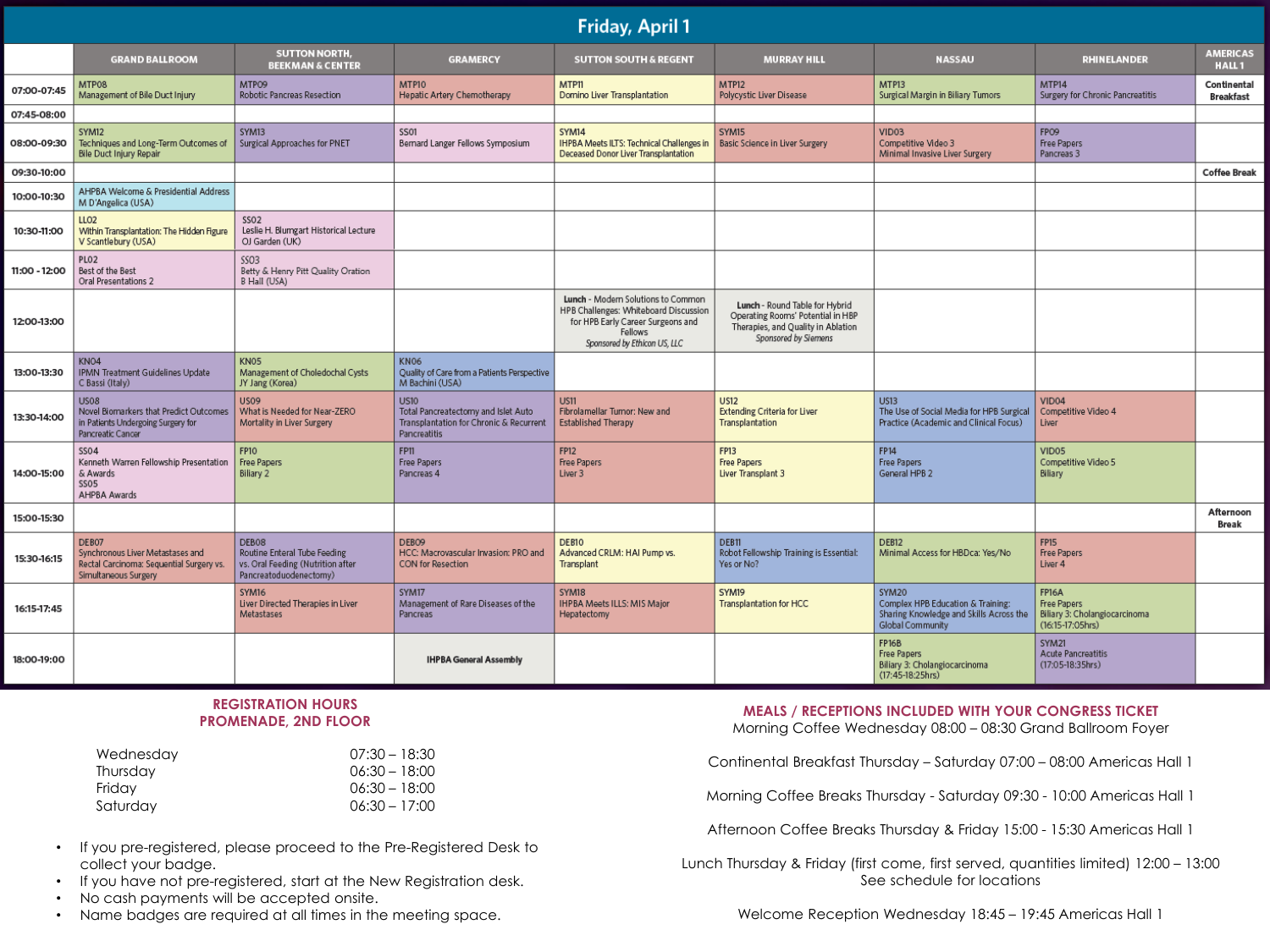| Friday, April 1 |                                                                                                                  |                                                                                                      |                                                                                                               |                                                                                                                                                             |                                                                                                                                   |                                                                                                           |                                                                                              |                                      |  |
|-----------------|------------------------------------------------------------------------------------------------------------------|------------------------------------------------------------------------------------------------------|---------------------------------------------------------------------------------------------------------------|-------------------------------------------------------------------------------------------------------------------------------------------------------------|-----------------------------------------------------------------------------------------------------------------------------------|-----------------------------------------------------------------------------------------------------------|----------------------------------------------------------------------------------------------|--------------------------------------|--|
|                 | <b>GRAND BALLROOM</b>                                                                                            | <b>SUTTON NORTH,</b><br><b>BEEKMAN &amp; CENTER</b>                                                  | <b>GRAMERCY</b>                                                                                               | <b>SUTTON SOUTH &amp; REGENT</b>                                                                                                                            | <b>MURRAY HILL</b>                                                                                                                | <b>NASSAU</b>                                                                                             | <b>RHINELANDER</b>                                                                           | <b>AMERICAS</b><br>HALL <sub>1</sub> |  |
| 07:00-07:45     | MTP08<br>Management of Bile Duct Injury                                                                          | MTPO9<br>Robotic Pancreas Resection                                                                  | MTP10<br>Hepatic Artery Chemotherapy                                                                          | <b>MTP11</b><br>Domino Liver Transplantation                                                                                                                | <b>MTP12</b><br>Polycystic Liver Disease                                                                                          | MTP13<br>Surgical Margin in Biliary Tumors                                                                | MTP14<br>Surgery for Chronic Pancreatitis                                                    | Continental<br><b>Breakfast</b>      |  |
| 07:45-08:00     |                                                                                                                  |                                                                                                      |                                                                                                               |                                                                                                                                                             |                                                                                                                                   |                                                                                                           |                                                                                              |                                      |  |
| 08:00-09:30     | SYM12<br>Techniques and Long-Term Outcomes of<br>Bile Duct Injury Repair                                         | SYM13<br>Surgical Approaches for PNET                                                                | <b>SS01</b><br>Bernard Langer Fellows Symposium                                                               | SYM14<br>IHPBA Meets ILTS: Technical Challenges in<br>Deceased Donor Liver Transplantation                                                                  | SYM15<br>Basic Science in Liver Surgery                                                                                           | VID <sub>03</sub><br>Competitive Video 3<br>Minimal Invasive Liver Surgery                                | FPO9<br>Free Papers<br>Pancreas 3                                                            |                                      |  |
| 09:30-10:00     |                                                                                                                  |                                                                                                      |                                                                                                               |                                                                                                                                                             |                                                                                                                                   |                                                                                                           |                                                                                              | <b>Coffee Break</b>                  |  |
| 10:00-10:30     | AHPBA Welcome & Presidential Address<br>M D'Angelica (USA)                                                       |                                                                                                      |                                                                                                               |                                                                                                                                                             |                                                                                                                                   |                                                                                                           |                                                                                              |                                      |  |
| 10:30-11:00     | LLO <sub>2</sub><br>Within Transplantation: The Hidden Figure<br>V Scantlebury (USA)                             | SSO <sub>2</sub><br>Leslie H. Blumgart Historical Lecture<br>OJ Garden (UK)                          |                                                                                                               |                                                                                                                                                             |                                                                                                                                   |                                                                                                           |                                                                                              |                                      |  |
| 11:00 - 12:00   | PLO <sub>2</sub><br>Best of the Best<br>Oral Presentations 2                                                     | <b>SSO3</b><br>Betty & Henry Pitt Quality Oration<br>B Hall (USA)                                    |                                                                                                               |                                                                                                                                                             |                                                                                                                                   |                                                                                                           |                                                                                              |                                      |  |
| 12:00-13:00     |                                                                                                                  |                                                                                                      |                                                                                                               | Lunch - Modern Solutions to Common<br>HPB Challenges: Whiteboard Discussion<br>for HPB Early Career Surgeons and<br>Fellows<br>Sponsored by Ethicon US, LLC | Lunch - Round Table for Hybrid<br>Operating Rooms' Potential in HBP<br>Therapies, and Quality in Ablation<br>Sponsored by Siemens |                                                                                                           |                                                                                              |                                      |  |
| 13:00-13:30     | KN <sub>O4</sub><br>IPMN Treatment Guidelines Update<br>C Bassi (Italy)                                          | <b>KN05</b><br>Management of Choledochal Cysts<br>JY Jang (Korea)                                    | <b>KN06</b><br>Quality of Care from a Patients Perspective<br>M Bachini (USA)                                 |                                                                                                                                                             |                                                                                                                                   |                                                                                                           |                                                                                              |                                      |  |
| 13:30-14:00     | <b>US08</b><br>Novel Biomarkers that Predict Outcomes<br>in Patients Undergoing Surgery for<br>Pancreatic Cancer | <b>US09</b><br>What is Needed for Near-ZERO<br>Mortality in Liver Surgery                            | <b>US10</b><br>Total Pancreatectomy and Islet Auto<br>Transplantation for Chronic & Recurrent<br>Pancreatitis | US11<br>Fibrolamellar Tumor: New and<br><b>Established Therapy</b>                                                                                          | <b>US12</b><br><b>Extending Criteria for Liver</b><br>Transplantation                                                             | <b>US13</b><br>The Use of Social Media for HPB Surgical<br>Practice (Academic and Clinical Focus)         | VID04<br>Competitive Video 4<br>Liver                                                        |                                      |  |
| 14:00-15:00     | <b>SS04</b><br>Kenneth Warren Fellowship Presentation<br>& Awards<br>SS <sub>05</sub><br>AHPBA Awards            | <b>FP10</b><br>Free Papers<br>Biliary 2                                                              | <b>FP11</b><br><b>Free Papers</b><br>Pancreas 4                                                               | <b>FP12</b><br>Free Papers<br>Liver 3                                                                                                                       | <b>FP13</b><br><b>Free Papers</b><br>Liver Transplant 3                                                                           | <b>FP14</b><br>Free Papers<br>General HPB 2                                                               | VID <sub>05</sub><br>Competitive Video 5<br>Biliary                                          |                                      |  |
| 15:00-15:30     |                                                                                                                  |                                                                                                      |                                                                                                               |                                                                                                                                                             |                                                                                                                                   |                                                                                                           |                                                                                              | Afternoon<br><b>Break</b>            |  |
| 15:30-16:15     | DEB07<br>Synchronous Liver Metastases and<br>Rectal Carcinoma: Sequential Surgery vs.<br>Simultaneous Surgery    | DEB08<br>Routine Enteral Tube Feeding<br>vs. Oral Feeding (Nutrition after<br>Pancreatoduodenectomy) | DEBO <sub>9</sub><br>HCC: Macrovascular Invasion: PRO and<br><b>CON for Resection</b>                         | DEB <sub>10</sub><br>Advanced CRLM: HAI Pump vs.<br>Transplant                                                                                              | DEB11<br>Robot Fellowship Training is Essential:<br>Yes or No?                                                                    | DEB <sub>12</sub><br>Minimal Access for HBDca: Yes/No                                                     | <b>FP15</b><br><b>Free Papers</b><br>Liver <sub>4</sub>                                      |                                      |  |
| 16:15-17:45     |                                                                                                                  | SYM16<br>Liver Directed Therapies in Liver<br>Metastases                                             | SYM17<br>Management of Rare Diseases of the<br>Pancreas                                                       | SYM18<br><b>IHPBA Meets ILLS: MIS Major</b><br>Hepatectomy                                                                                                  | SYM19<br><b>Transplantation for HCC</b>                                                                                           | SYM20<br>Complex HPB Education & Training:<br>Sharing Knowledge and Skills Across the<br>Global Community | <b>FP16A</b><br><b>Free Papers</b><br>Biliary 3: Cholangiocarcinoma<br>$(16:15 - 17:05$ hrs) |                                      |  |
| 18:00-19:00     |                                                                                                                  |                                                                                                      | <b>IHPBA General Assembly</b>                                                                                 |                                                                                                                                                             |                                                                                                                                   | <b>FP16B</b><br><b>Free Papers</b><br>Biliary 3: Cholangiocarcinoma<br>(17:45-18:25hrs)                   | SYM21<br><b>Acute Pancreatitis</b><br>$(17:05-18:35hrs)$                                     |                                      |  |

#### **REGISTRATION HOURS PROMENADE, 2ND FLOOR**

| $07:30 - 18:30$ |
|-----------------|
| $06:30 - 18:00$ |
| $06:30 - 18:00$ |
| $06:30 - 17:00$ |
|                 |

- If you pre-registered, please proceed to the Pre-Registered Desk to collect your badge.
- If you have not pre-registered, start at the New Registration desk.
- No cash payments will be accepted onsite.
- Name badges are required at all times in the meeting space.

### **MEALS / RECEPTIONS INCLUDED WITH YOUR CONGRESS TICKET**

Morning Coffee Wednesday 08:00 – 08:30 Grand Ballroom Foyer

Continental Breakfast Thursday – Saturday 07:00 – 08:00 Americas Hall 1

Morning Coffee Breaks Thursday - Saturday 09:30 - 10:00 Americas Hall 1

Afternoon Coffee Breaks Thursday & Friday 15:00 - 15:30 Americas Hall 1

Lunch Thursday & Friday (first come, first served, quantities limited) 12:00 – 13:00 See schedule for locations

Welcome Reception Wednesday 18:45 – 19:45 Americas Hall 1